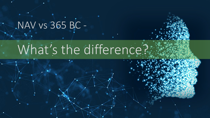## NAV vs 365 BC -

## What's the difference?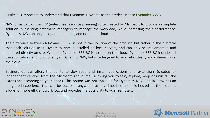Firstly, it is important to understand that Dynamics NAV acts as the predecessor to Dynamics 365 BC.

NAV forms part of the ERP (enterprise resource planning) suite created by Microsoft to provide a complete solution in assisting enterprise managers to manage the workload, while increasing their performance. Dynamics NAV can only be operated on-site, and not in the cloud.

The difference between NAV and 365 BC is not in the solution of the product, but rather in the platform that each solution uses. Dynamics NAV is installed on local servers, and can only be implemented and operated directly on site. Whereas Dynamics 365 BC is hosted on the cloud. Dynamics 365 BC includes all the applications and functionality of Dynamics NAV, but is redesigned to work effortlessly and coherently on the cloud.

Business Central offers the ability to download and install applications and extensions (created by independent vendors from the Microsoft AppSource), allowing you to test, explore, keep or uninstall the extensions according to your needs. This option was not available for Dynamics NAV. 365 BC provides an integrated experience that can be accessed anywhere at any time, because it is hosted on the cloud. It allows for more efficient workflow, and provides the possibility to work remotely.



info@dynavix.co.za © DYNAVIX PTY LTD